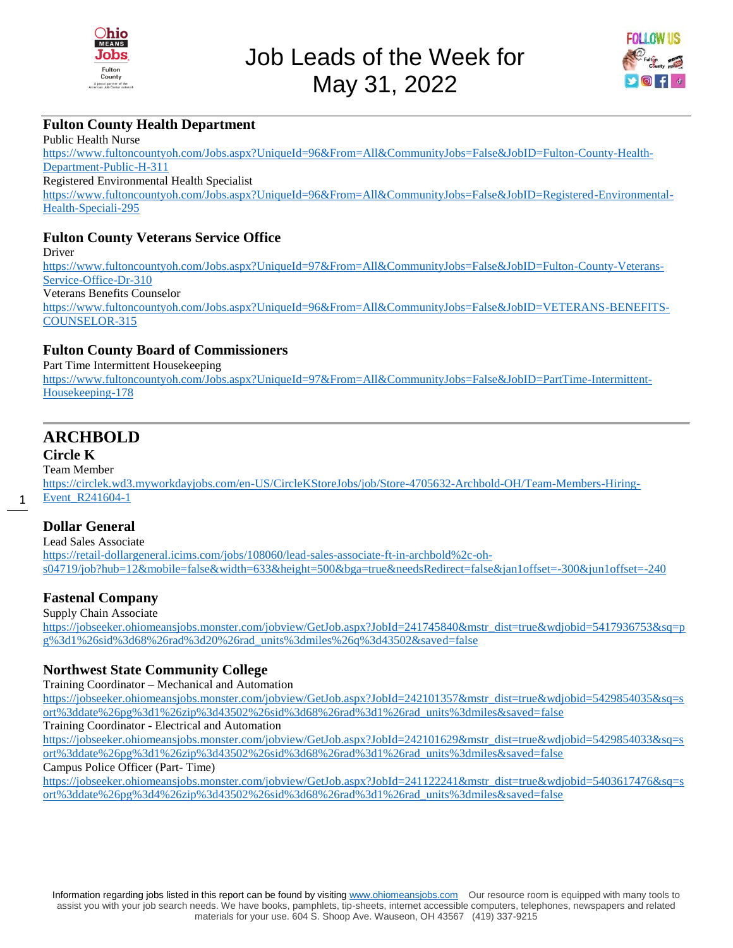



#### **Fulton County Health Department**

Public Health Nurse [https://www.fultoncountyoh.com/Jobs.aspx?UniqueId=96&From=All&CommunityJobs=False&JobID=Fulton-County-Health-](https://www.fultoncountyoh.com/Jobs.aspx?UniqueId=96&From=All&CommunityJobs=False&JobID=Fulton-County-Health-Department-Public-H-311)[Department-Public-H-311](https://www.fultoncountyoh.com/Jobs.aspx?UniqueId=96&From=All&CommunityJobs=False&JobID=Fulton-County-Health-Department-Public-H-311) Registered Environmental Health Specialist [https://www.fultoncountyoh.com/Jobs.aspx?UniqueId=96&From=All&CommunityJobs=False&JobID=Registered-Environmental-](https://www.fultoncountyoh.com/Jobs.aspx?UniqueId=96&From=All&CommunityJobs=False&JobID=Registered-Environmental-Health-Speciali-295)[Health-Speciali-295](https://www.fultoncountyoh.com/Jobs.aspx?UniqueId=96&From=All&CommunityJobs=False&JobID=Registered-Environmental-Health-Speciali-295)

#### **Fulton County Veterans Service Office**

Driver [https://www.fultoncountyoh.com/Jobs.aspx?UniqueId=97&From=All&CommunityJobs=False&JobID=Fulton-County-Veterans-](https://www.fultoncountyoh.com/Jobs.aspx?UniqueId=97&From=All&CommunityJobs=False&JobID=Fulton-County-Veterans-Service-Office-Dr-310)[Service-Office-Dr-310](https://www.fultoncountyoh.com/Jobs.aspx?UniqueId=97&From=All&CommunityJobs=False&JobID=Fulton-County-Veterans-Service-Office-Dr-310) Veterans Benefits Counselor [https://www.fultoncountyoh.com/Jobs.aspx?UniqueId=96&From=All&CommunityJobs=False&JobID=VETERANS-BENEFITS-](https://www.fultoncountyoh.com/Jobs.aspx?UniqueId=96&From=All&CommunityJobs=False&JobID=VETERANS-BENEFITS-COUNSELOR-315)[COUNSELOR-315](https://www.fultoncountyoh.com/Jobs.aspx?UniqueId=96&From=All&CommunityJobs=False&JobID=VETERANS-BENEFITS-COUNSELOR-315)

#### **Fulton County Board of Commissioners**

Part Time Intermittent Housekeeping [https://www.fultoncountyoh.com/Jobs.aspx?UniqueId=97&From=All&CommunityJobs=False&JobID=PartTime-Intermittent-](https://www.fultoncountyoh.com/Jobs.aspx?UniqueId=97&From=All&CommunityJobs=False&JobID=PartTime-Intermittent-Housekeeping-178)[Housekeeping-178](https://www.fultoncountyoh.com/Jobs.aspx?UniqueId=97&From=All&CommunityJobs=False&JobID=PartTime-Intermittent-Housekeeping-178)

# **ARCHBOLD**

## **Circle K**

1

Team Member

[https://circlek.wd3.myworkdayjobs.com/en-US/CircleKStoreJobs/job/Store-4705632-Archbold-OH/Team-Members-Hiring-](https://circlek.wd3.myworkdayjobs.com/en-US/CircleKStoreJobs/job/Store-4705632-Archbold-OH/Team-Members-Hiring-Event_R241604-1)[Event\\_R241604-1](https://circlek.wd3.myworkdayjobs.com/en-US/CircleKStoreJobs/job/Store-4705632-Archbold-OH/Team-Members-Hiring-Event_R241604-1)

#### **Dollar General**

Lead Sales Associate [https://retail-dollargeneral.icims.com/jobs/108060/lead-sales-associate-ft-in-archbold%2c-oh](https://retail-dollargeneral.icims.com/jobs/108060/lead-sales-associate-ft-in-archbold%2c-oh-s04719/job?hub=12&mobile=false&width=633&height=500&bga=true&needsRedirect=false&jan1offset=-300&jun1offset=-240)[s04719/job?hub=12&mobile=false&width=633&height=500&bga=true&needsRedirect=false&jan1offset=-300&jun1offset=-240](https://retail-dollargeneral.icims.com/jobs/108060/lead-sales-associate-ft-in-archbold%2c-oh-s04719/job?hub=12&mobile=false&width=633&height=500&bga=true&needsRedirect=false&jan1offset=-300&jun1offset=-240)

## **Fastenal Company**

Supply Chain Associate

[https://jobseeker.ohiomeansjobs.monster.com/jobview/GetJob.aspx?JobId=241745840&mstr\\_dist=true&wdjobid=5417936753&sq=p](https://jobseeker.ohiomeansjobs.monster.com/jobview/GetJob.aspx?JobId=241745840&mstr_dist=true&wdjobid=5417936753&sq=pg%3d1%26sid%3d68%26rad%3d20%26rad_units%3dmiles%26q%3d43502&saved=false) [g%3d1%26sid%3d68%26rad%3d20%26rad\\_units%3dmiles%26q%3d43502&saved=false](https://jobseeker.ohiomeansjobs.monster.com/jobview/GetJob.aspx?JobId=241745840&mstr_dist=true&wdjobid=5417936753&sq=pg%3d1%26sid%3d68%26rad%3d20%26rad_units%3dmiles%26q%3d43502&saved=false)

## **Northwest State Community College**

Training Coordinator – Mechanical and Automation

[https://jobseeker.ohiomeansjobs.monster.com/jobview/GetJob.aspx?JobId=242101357&mstr\\_dist=true&wdjobid=5429854035&sq=s](https://jobseeker.ohiomeansjobs.monster.com/jobview/GetJob.aspx?JobId=242101357&mstr_dist=true&wdjobid=5429854035&sq=sort%3ddate%26pg%3d1%26zip%3d43502%26sid%3d68%26rad%3d1%26rad_units%3dmiles&saved=false) [ort%3ddate%26pg%3d1%26zip%3d43502%26sid%3d68%26rad%3d1%26rad\\_units%3dmiles&saved=false](https://jobseeker.ohiomeansjobs.monster.com/jobview/GetJob.aspx?JobId=242101357&mstr_dist=true&wdjobid=5429854035&sq=sort%3ddate%26pg%3d1%26zip%3d43502%26sid%3d68%26rad%3d1%26rad_units%3dmiles&saved=false)

Training Coordinator - Electrical and Automation

[https://jobseeker.ohiomeansjobs.monster.com/jobview/GetJob.aspx?JobId=242101629&mstr\\_dist=true&wdjobid=5429854033&sq=s](https://jobseeker.ohiomeansjobs.monster.com/jobview/GetJob.aspx?JobId=242101629&mstr_dist=true&wdjobid=5429854033&sq=sort%3ddate%26pg%3d1%26zip%3d43502%26sid%3d68%26rad%3d1%26rad_units%3dmiles&saved=false) [ort%3ddate%26pg%3d1%26zip%3d43502%26sid%3d68%26rad%3d1%26rad\\_units%3dmiles&saved=false](https://jobseeker.ohiomeansjobs.monster.com/jobview/GetJob.aspx?JobId=242101629&mstr_dist=true&wdjobid=5429854033&sq=sort%3ddate%26pg%3d1%26zip%3d43502%26sid%3d68%26rad%3d1%26rad_units%3dmiles&saved=false)

Campus Police Officer (Part- Time)

[https://jobseeker.ohiomeansjobs.monster.com/jobview/GetJob.aspx?JobId=241122241&mstr\\_dist=true&wdjobid=5403617476&sq=s](https://jobseeker.ohiomeansjobs.monster.com/jobview/GetJob.aspx?JobId=241122241&mstr_dist=true&wdjobid=5403617476&sq=sort%3ddate%26pg%3d4%26zip%3d43502%26sid%3d68%26rad%3d1%26rad_units%3dmiles&saved=false) [ort%3ddate%26pg%3d4%26zip%3d43502%26sid%3d68%26rad%3d1%26rad\\_units%3dmiles&saved=false](https://jobseeker.ohiomeansjobs.monster.com/jobview/GetJob.aspx?JobId=241122241&mstr_dist=true&wdjobid=5403617476&sq=sort%3ddate%26pg%3d4%26zip%3d43502%26sid%3d68%26rad%3d1%26rad_units%3dmiles&saved=false)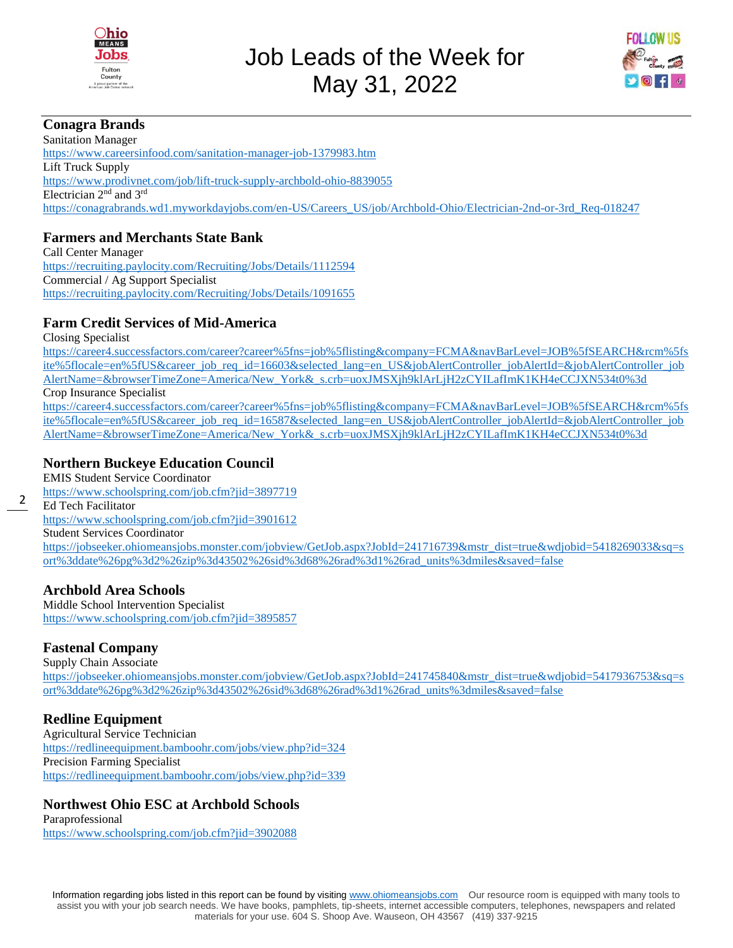



## **Conagra Brands**

Sanitation Manager <https://www.careersinfood.com/sanitation-manager-job-1379983.htm> Lift Truck Supply <https://www.prodivnet.com/job/lift-truck-supply-archbold-ohio-8839055> Electrician 2<sup>nd</sup> and 3<sup>rd</sup> [https://conagrabrands.wd1.myworkdayjobs.com/en-US/Careers\\_US/job/Archbold-Ohio/Electrician-2nd-or-3rd\\_Req-018247](https://conagrabrands.wd1.myworkdayjobs.com/en-US/Careers_US/job/Archbold-Ohio/Electrician-2nd-or-3rd_Req-018247)

## **Farmers and Merchants State Bank**

Call Center Manager <https://recruiting.paylocity.com/Recruiting/Jobs/Details/1112594> Commercial / Ag Support Specialist <https://recruiting.paylocity.com/Recruiting/Jobs/Details/1091655>

# **Farm Credit Services of Mid-America**

Closing Specialist

[https://career4.successfactors.com/career?career%5fns=job%5flisting&company=FCMA&navBarLevel=JOB%5fSEARCH&rcm%5fs](https://career4.successfactors.com/career?career%5fns=job%5flisting&company=FCMA&navBarLevel=JOB%5fSEARCH&rcm%5fsite%5flocale=en%5fUS&career_job_req_id=16603&selected_lang=en_US&jobAlertController_jobAlertId=&jobAlertController_jobAlertName=&browserTimeZone=America/New_York&_s.crb=uoxJMSXjh9klArLjH2zCYILafImK1KH4eCCJXN534t0%3d) [ite%5flocale=en%5fUS&career\\_job\\_req\\_id=16603&selected\\_lang=en\\_US&jobAlertController\\_jobAlertId=&jobAlertController\\_job](https://career4.successfactors.com/career?career%5fns=job%5flisting&company=FCMA&navBarLevel=JOB%5fSEARCH&rcm%5fsite%5flocale=en%5fUS&career_job_req_id=16603&selected_lang=en_US&jobAlertController_jobAlertId=&jobAlertController_jobAlertName=&browserTimeZone=America/New_York&_s.crb=uoxJMSXjh9klArLjH2zCYILafImK1KH4eCCJXN534t0%3d) [AlertName=&browserTimeZone=America/New\\_York&\\_s.crb=uoxJMSXjh9klArLjH2zCYILafImK1KH4eCCJXN534t0%3d](https://career4.successfactors.com/career?career%5fns=job%5flisting&company=FCMA&navBarLevel=JOB%5fSEARCH&rcm%5fsite%5flocale=en%5fUS&career_job_req_id=16603&selected_lang=en_US&jobAlertController_jobAlertId=&jobAlertController_jobAlertName=&browserTimeZone=America/New_York&_s.crb=uoxJMSXjh9klArLjH2zCYILafImK1KH4eCCJXN534t0%3d) Crop Insurance Specialist

[https://career4.successfactors.com/career?career%5fns=job%5flisting&company=FCMA&navBarLevel=JOB%5fSEARCH&rcm%5fs](https://career4.successfactors.com/career?career%5fns=job%5flisting&company=FCMA&navBarLevel=JOB%5fSEARCH&rcm%5fsite%5flocale=en%5fUS&career_job_req_id=16587&selected_lang=en_US&jobAlertController_jobAlertId=&jobAlertController_jobAlertName=&browserTimeZone=America/New_York&_s.crb=uoxJMSXjh9klArLjH2zCYILafImK1KH4eCCJXN534t0%3d) [ite%5flocale=en%5fUS&career\\_job\\_req\\_id=16587&selected\\_lang=en\\_US&jobAlertController\\_jobAlertId=&jobAlertController\\_job](https://career4.successfactors.com/career?career%5fns=job%5flisting&company=FCMA&navBarLevel=JOB%5fSEARCH&rcm%5fsite%5flocale=en%5fUS&career_job_req_id=16587&selected_lang=en_US&jobAlertController_jobAlertId=&jobAlertController_jobAlertName=&browserTimeZone=America/New_York&_s.crb=uoxJMSXjh9klArLjH2zCYILafImK1KH4eCCJXN534t0%3d) [AlertName=&browserTimeZone=America/New\\_York&\\_s.crb=uoxJMSXjh9klArLjH2zCYILafImK1KH4eCCJXN534t0%3d](https://career4.successfactors.com/career?career%5fns=job%5flisting&company=FCMA&navBarLevel=JOB%5fSEARCH&rcm%5fsite%5flocale=en%5fUS&career_job_req_id=16587&selected_lang=en_US&jobAlertController_jobAlertId=&jobAlertController_jobAlertName=&browserTimeZone=America/New_York&_s.crb=uoxJMSXjh9klArLjH2zCYILafImK1KH4eCCJXN534t0%3d)

## **Northern Buckeye Education Council**

EMIS Student Service Coordinator <https://www.schoolspring.com/job.cfm?jid=3897719> Ed Tech Facilitator <https://www.schoolspring.com/job.cfm?jid=3901612> Student Services Coordinator [https://jobseeker.ohiomeansjobs.monster.com/jobview/GetJob.aspx?JobId=241716739&mstr\\_dist=true&wdjobid=5418269033&sq=s](https://jobseeker.ohiomeansjobs.monster.com/jobview/GetJob.aspx?JobId=241716739&mstr_dist=true&wdjobid=5418269033&sq=sort%3ddate%26pg%3d2%26zip%3d43502%26sid%3d68%26rad%3d1%26rad_units%3dmiles&saved=false) [ort%3ddate%26pg%3d2%26zip%3d43502%26sid%3d68%26rad%3d1%26rad\\_units%3dmiles&saved=false](https://jobseeker.ohiomeansjobs.monster.com/jobview/GetJob.aspx?JobId=241716739&mstr_dist=true&wdjobid=5418269033&sq=sort%3ddate%26pg%3d2%26zip%3d43502%26sid%3d68%26rad%3d1%26rad_units%3dmiles&saved=false)

## **Archbold Area Schools**

Middle School Intervention Specialist <https://www.schoolspring.com/job.cfm?jid=3895857>

# **Fastenal Company**

Supply Chain Associate [https://jobseeker.ohiomeansjobs.monster.com/jobview/GetJob.aspx?JobId=241745840&mstr\\_dist=true&wdjobid=5417936753&sq=s](https://jobseeker.ohiomeansjobs.monster.com/jobview/GetJob.aspx?JobId=241745840&mstr_dist=true&wdjobid=5417936753&sq=sort%3ddate%26pg%3d2%26zip%3d43502%26sid%3d68%26rad%3d1%26rad_units%3dmiles&saved=false) [ort%3ddate%26pg%3d2%26zip%3d43502%26sid%3d68%26rad%3d1%26rad\\_units%3dmiles&saved=false](https://jobseeker.ohiomeansjobs.monster.com/jobview/GetJob.aspx?JobId=241745840&mstr_dist=true&wdjobid=5417936753&sq=sort%3ddate%26pg%3d2%26zip%3d43502%26sid%3d68%26rad%3d1%26rad_units%3dmiles&saved=false)

# **Redline Equipment**

Agricultural Service Technician <https://redlineequipment.bamboohr.com/jobs/view.php?id=324> Precision Farming Specialist <https://redlineequipment.bamboohr.com/jobs/view.php?id=339>

# **Northwest Ohio ESC at Archbold Schools**

Paraprofessional <https://www.schoolspring.com/job.cfm?jid=3902088>

2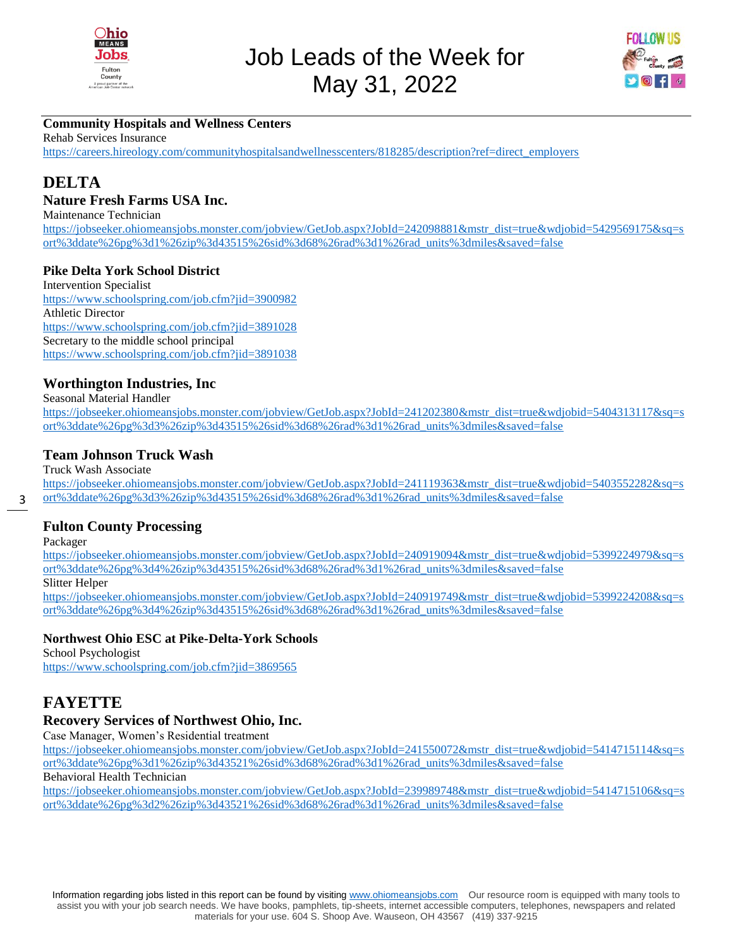



# **Community Hospitals and Wellness Centers**

Rehab Services Insurance

[https://careers.hireology.com/communityhospitalsandwellnesscenters/818285/description?ref=direct\\_employers](https://careers.hireology.com/communityhospitalsandwellnesscenters/818285/description?ref=direct_employers)

# **DELTA**

#### **Nature Fresh Farms USA Inc.**

Maintenance Technician

[https://jobseeker.ohiomeansjobs.monster.com/jobview/GetJob.aspx?JobId=242098881&mstr\\_dist=true&wdjobid=5429569175&sq=s](https://jobseeker.ohiomeansjobs.monster.com/jobview/GetJob.aspx?JobId=242098881&mstr_dist=true&wdjobid=5429569175&sq=sort%3ddate%26pg%3d1%26zip%3d43515%26sid%3d68%26rad%3d1%26rad_units%3dmiles&saved=false) [ort%3ddate%26pg%3d1%26zip%3d43515%26sid%3d68%26rad%3d1%26rad\\_units%3dmiles&saved=false](https://jobseeker.ohiomeansjobs.monster.com/jobview/GetJob.aspx?JobId=242098881&mstr_dist=true&wdjobid=5429569175&sq=sort%3ddate%26pg%3d1%26zip%3d43515%26sid%3d68%26rad%3d1%26rad_units%3dmiles&saved=false)

#### **Pike Delta York School District**

Intervention Specialist <https://www.schoolspring.com/job.cfm?jid=3900982> Athletic Director <https://www.schoolspring.com/job.cfm?jid=3891028> Secretary to the middle school principal <https://www.schoolspring.com/job.cfm?jid=3891038>

#### **Worthington Industries, Inc**

Seasonal Material Handler [https://jobseeker.ohiomeansjobs.monster.com/jobview/GetJob.aspx?JobId=241202380&mstr\\_dist=true&wdjobid=5404313117&sq=s](https://jobseeker.ohiomeansjobs.monster.com/jobview/GetJob.aspx?JobId=241202380&mstr_dist=true&wdjobid=5404313117&sq=sort%3ddate%26pg%3d3%26zip%3d43515%26sid%3d68%26rad%3d1%26rad_units%3dmiles&saved=false) [ort%3ddate%26pg%3d3%26zip%3d43515%26sid%3d68%26rad%3d1%26rad\\_units%3dmiles&saved=false](https://jobseeker.ohiomeansjobs.monster.com/jobview/GetJob.aspx?JobId=241202380&mstr_dist=true&wdjobid=5404313117&sq=sort%3ddate%26pg%3d3%26zip%3d43515%26sid%3d68%26rad%3d1%26rad_units%3dmiles&saved=false)

#### **Team Johnson Truck Wash**

Truck Wash Associate

[https://jobseeker.ohiomeansjobs.monster.com/jobview/GetJob.aspx?JobId=241119363&mstr\\_dist=true&wdjobid=5403552282&sq=s](https://jobseeker.ohiomeansjobs.monster.com/jobview/GetJob.aspx?JobId=241119363&mstr_dist=true&wdjobid=5403552282&sq=sort%3ddate%26pg%3d3%26zip%3d43515%26sid%3d68%26rad%3d1%26rad_units%3dmiles&saved=false) [ort%3ddate%26pg%3d3%26zip%3d43515%26sid%3d68%26rad%3d1%26rad\\_units%3dmiles&saved=false](https://jobseeker.ohiomeansjobs.monster.com/jobview/GetJob.aspx?JobId=241119363&mstr_dist=true&wdjobid=5403552282&sq=sort%3ddate%26pg%3d3%26zip%3d43515%26sid%3d68%26rad%3d1%26rad_units%3dmiles&saved=false)

#### **Fulton County Processing**

Packager

3

[https://jobseeker.ohiomeansjobs.monster.com/jobview/GetJob.aspx?JobId=240919094&mstr\\_dist=true&wdjobid=5399224979&sq=s](https://jobseeker.ohiomeansjobs.monster.com/jobview/GetJob.aspx?JobId=240919094&mstr_dist=true&wdjobid=5399224979&sq=sort%3ddate%26pg%3d4%26zip%3d43515%26sid%3d68%26rad%3d1%26rad_units%3dmiles&saved=false) [ort%3ddate%26pg%3d4%26zip%3d43515%26sid%3d68%26rad%3d1%26rad\\_units%3dmiles&saved=false](https://jobseeker.ohiomeansjobs.monster.com/jobview/GetJob.aspx?JobId=240919094&mstr_dist=true&wdjobid=5399224979&sq=sort%3ddate%26pg%3d4%26zip%3d43515%26sid%3d68%26rad%3d1%26rad_units%3dmiles&saved=false)

Slitter Helper

[https://jobseeker.ohiomeansjobs.monster.com/jobview/GetJob.aspx?JobId=240919749&mstr\\_dist=true&wdjobid=5399224208&sq=s](https://jobseeker.ohiomeansjobs.monster.com/jobview/GetJob.aspx?JobId=240919749&mstr_dist=true&wdjobid=5399224208&sq=sort%3ddate%26pg%3d4%26zip%3d43515%26sid%3d68%26rad%3d1%26rad_units%3dmiles&saved=false) [ort%3ddate%26pg%3d4%26zip%3d43515%26sid%3d68%26rad%3d1%26rad\\_units%3dmiles&saved=false](https://jobseeker.ohiomeansjobs.monster.com/jobview/GetJob.aspx?JobId=240919749&mstr_dist=true&wdjobid=5399224208&sq=sort%3ddate%26pg%3d4%26zip%3d43515%26sid%3d68%26rad%3d1%26rad_units%3dmiles&saved=false)

#### **Northwest Ohio ESC at Pike-Delta-York Schools**

School Psychologist <https://www.schoolspring.com/job.cfm?jid=3869565>

# **FAYETTE**

## **Recovery Services of Northwest Ohio, Inc.**

Case Manager, Women's Residential treatment

[https://jobseeker.ohiomeansjobs.monster.com/jobview/GetJob.aspx?JobId=241550072&mstr\\_dist=true&wdjobid=5414715114&sq=s](https://jobseeker.ohiomeansjobs.monster.com/jobview/GetJob.aspx?JobId=241550072&mstr_dist=true&wdjobid=5414715114&sq=sort%3ddate%26pg%3d1%26zip%3d43521%26sid%3d68%26rad%3d1%26rad_units%3dmiles&saved=false) [ort%3ddate%26pg%3d1%26zip%3d43521%26sid%3d68%26rad%3d1%26rad\\_units%3dmiles&saved=false](https://jobseeker.ohiomeansjobs.monster.com/jobview/GetJob.aspx?JobId=241550072&mstr_dist=true&wdjobid=5414715114&sq=sort%3ddate%26pg%3d1%26zip%3d43521%26sid%3d68%26rad%3d1%26rad_units%3dmiles&saved=false)

## Behavioral Health Technician

[https://jobseeker.ohiomeansjobs.monster.com/jobview/GetJob.aspx?JobId=239989748&mstr\\_dist=true&wdjobid=5414715106&sq=s](https://jobseeker.ohiomeansjobs.monster.com/jobview/GetJob.aspx?JobId=239989748&mstr_dist=true&wdjobid=5414715106&sq=sort%3ddate%26pg%3d2%26zip%3d43521%26sid%3d68%26rad%3d1%26rad_units%3dmiles&saved=false) [ort%3ddate%26pg%3d2%26zip%3d43521%26sid%3d68%26rad%3d1%26rad\\_units%3dmiles&saved=false](https://jobseeker.ohiomeansjobs.monster.com/jobview/GetJob.aspx?JobId=239989748&mstr_dist=true&wdjobid=5414715106&sq=sort%3ddate%26pg%3d2%26zip%3d43521%26sid%3d68%26rad%3d1%26rad_units%3dmiles&saved=false)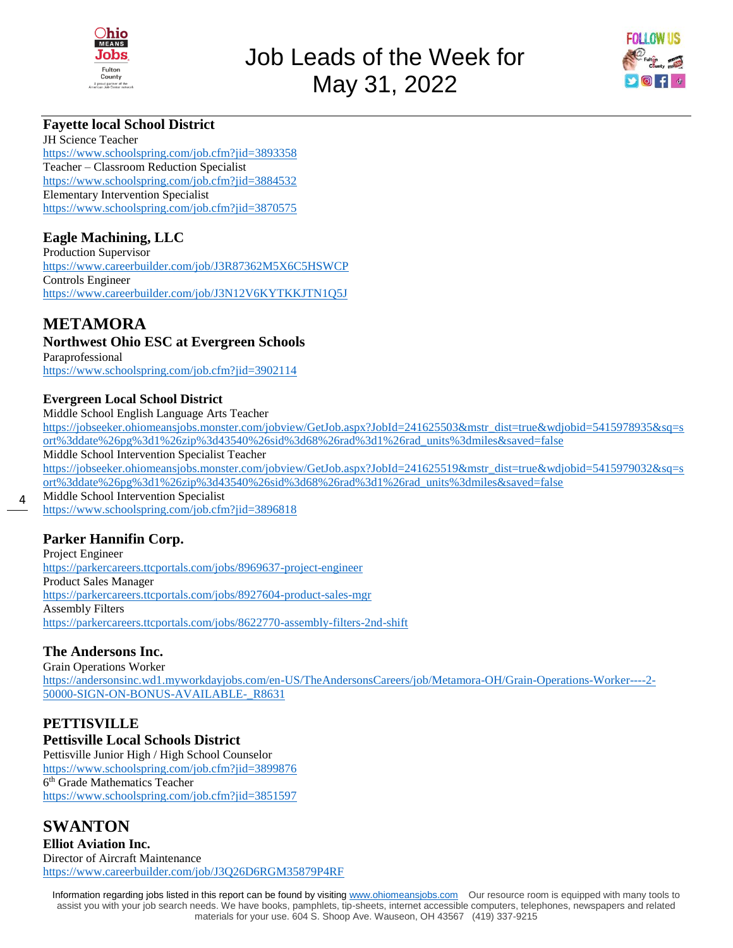



## **Fayette local School District**

JH Science Teacher <https://www.schoolspring.com/job.cfm?jid=3893358> Teacher – Classroom Reduction Specialist <https://www.schoolspring.com/job.cfm?jid=3884532> Elementary Intervention Specialist <https://www.schoolspring.com/job.cfm?jid=3870575>

## **Eagle Machining, LLC**

Production Supervisor <https://www.careerbuilder.com/job/J3R87362M5X6C5HSWCP> Controls Engineer <https://www.careerbuilder.com/job/J3N12V6KYTKKJTN1Q5J>

# **METAMORA**

#### **Northwest Ohio ESC at Evergreen Schools**

Paraprofessional <https://www.schoolspring.com/job.cfm?jid=3902114>

#### **Evergreen Local School District**

Middle School English Language Arts Teacher [https://jobseeker.ohiomeansjobs.monster.com/jobview/GetJob.aspx?JobId=241625503&mstr\\_dist=true&wdjobid=5415978935&sq=s](https://jobseeker.ohiomeansjobs.monster.com/jobview/GetJob.aspx?JobId=241625503&mstr_dist=true&wdjobid=5415978935&sq=sort%3ddate%26pg%3d1%26zip%3d43540%26sid%3d68%26rad%3d1%26rad_units%3dmiles&saved=false) [ort%3ddate%26pg%3d1%26zip%3d43540%26sid%3d68%26rad%3d1%26rad\\_units%3dmiles&saved=false](https://jobseeker.ohiomeansjobs.monster.com/jobview/GetJob.aspx?JobId=241625503&mstr_dist=true&wdjobid=5415978935&sq=sort%3ddate%26pg%3d1%26zip%3d43540%26sid%3d68%26rad%3d1%26rad_units%3dmiles&saved=false) Middle School Intervention Specialist Teacher [https://jobseeker.ohiomeansjobs.monster.com/jobview/GetJob.aspx?JobId=241625519&mstr\\_dist=true&wdjobid=5415979032&sq=s](https://jobseeker.ohiomeansjobs.monster.com/jobview/GetJob.aspx?JobId=241625519&mstr_dist=true&wdjobid=5415979032&sq=sort%3ddate%26pg%3d1%26zip%3d43540%26sid%3d68%26rad%3d1%26rad_units%3dmiles&saved=false) [ort%3ddate%26pg%3d1%26zip%3d43540%26sid%3d68%26rad%3d1%26rad\\_units%3dmiles&saved=false](https://jobseeker.ohiomeansjobs.monster.com/jobview/GetJob.aspx?JobId=241625519&mstr_dist=true&wdjobid=5415979032&sq=sort%3ddate%26pg%3d1%26zip%3d43540%26sid%3d68%26rad%3d1%26rad_units%3dmiles&saved=false) Middle School Intervention Specialist <https://www.schoolspring.com/job.cfm?jid=3896818>

## **Parker Hannifin Corp.**

4

Project Engineer <https://parkercareers.ttcportals.com/jobs/8969637-project-engineer> Product Sales Manager <https://parkercareers.ttcportals.com/jobs/8927604-product-sales-mgr> Assembly Filters <https://parkercareers.ttcportals.com/jobs/8622770-assembly-filters-2nd-shift>

# **The Andersons Inc.**

Grain Operations Worker [https://andersonsinc.wd1.myworkdayjobs.com/en-US/TheAndersonsCareers/job/Metamora-OH/Grain-Operations-Worker----2-](https://andersonsinc.wd1.myworkdayjobs.com/en-US/TheAndersonsCareers/job/Metamora-OH/Grain-Operations-Worker----2-50000-SIGN-ON-BONUS-AVAILABLE-_R8631) [50000-SIGN-ON-BONUS-AVAILABLE-\\_R8631](https://andersonsinc.wd1.myworkdayjobs.com/en-US/TheAndersonsCareers/job/Metamora-OH/Grain-Operations-Worker----2-50000-SIGN-ON-BONUS-AVAILABLE-_R8631)

# **PETTISVILLE**

#### **Pettisville Local Schools District**

Pettisville Junior High / High School Counselor <https://www.schoolspring.com/job.cfm?jid=3899876> 6 th Grade Mathematics Teacher <https://www.schoolspring.com/job.cfm?jid=3851597>

# **SWANTON**

**Elliot Aviation Inc.**  Director of Aircraft Maintenance <https://www.careerbuilder.com/job/J3Q26D6RGM35879P4RF>

Information regarding jobs listed in this report can be found by visiting [www.ohiomeansjobs.com](http://www.ohiomeansjobs.com/) Our resource room is equipped with many tools to assist you with your job search needs. We have books, pamphlets, tip-sheets, internet accessible computers, telephones, newspapers and related materials for your use. 604 S. Shoop Ave. Wauseon, OH 43567 (419) 337-9215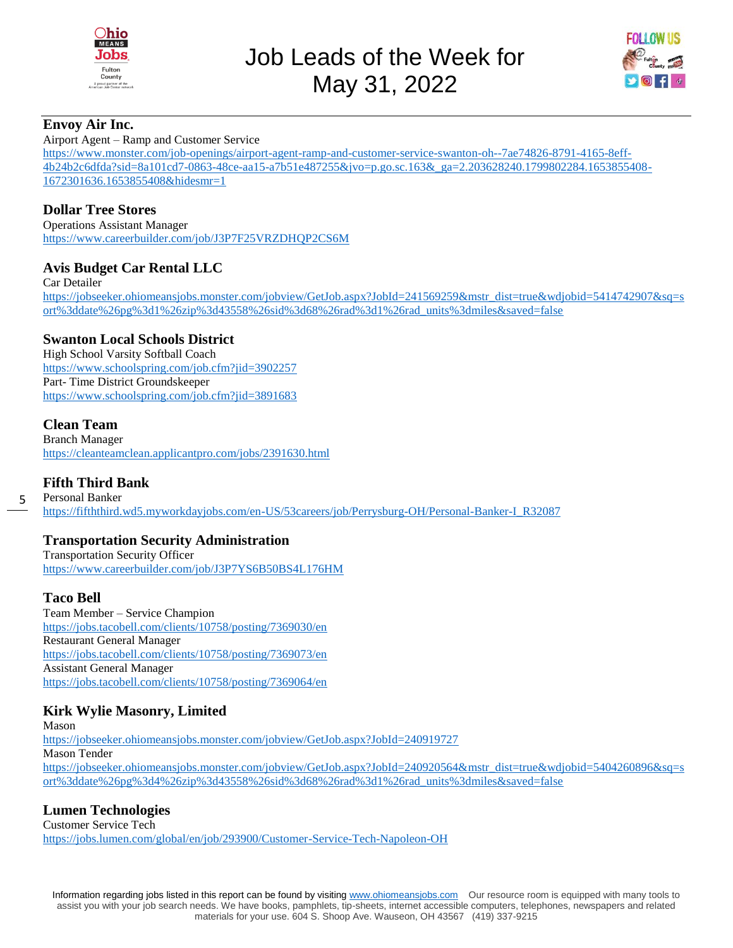

Job Leads of the Week for May 31, 2022



#### **Envoy Air Inc.**

Airport Agent – Ramp and Customer Service

[https://www.monster.com/job-openings/airport-agent-ramp-and-customer-service-swanton-oh--7ae74826-8791-4165-8eff-](https://www.monster.com/job-openings/airport-agent-ramp-and-customer-service-swanton-oh--7ae74826-8791-4165-8eff-4b24b2c6dfda?sid=8a101cd7-0863-48ce-aa15-a7b51e487255&jvo=p.go.sc.163&_ga=2.203628240.1799802284.1653855408-1672301636.1653855408&hidesmr=1)[4b24b2c6dfda?sid=8a101cd7-0863-48ce-aa15-a7b51e487255&jvo=p.go.sc.163&\\_ga=2.203628240.1799802284.1653855408-](https://www.monster.com/job-openings/airport-agent-ramp-and-customer-service-swanton-oh--7ae74826-8791-4165-8eff-4b24b2c6dfda?sid=8a101cd7-0863-48ce-aa15-a7b51e487255&jvo=p.go.sc.163&_ga=2.203628240.1799802284.1653855408-1672301636.1653855408&hidesmr=1) [1672301636.1653855408&hidesmr=1](https://www.monster.com/job-openings/airport-agent-ramp-and-customer-service-swanton-oh--7ae74826-8791-4165-8eff-4b24b2c6dfda?sid=8a101cd7-0863-48ce-aa15-a7b51e487255&jvo=p.go.sc.163&_ga=2.203628240.1799802284.1653855408-1672301636.1653855408&hidesmr=1)

## **Dollar Tree Stores**

Operations Assistant Manager <https://www.careerbuilder.com/job/J3P7F25VRZDHQP2CS6M>

## **Avis Budget Car Rental LLC**

Car Detailer [https://jobseeker.ohiomeansjobs.monster.com/jobview/GetJob.aspx?JobId=241569259&mstr\\_dist=true&wdjobid=5414742907&sq=s](https://jobseeker.ohiomeansjobs.monster.com/jobview/GetJob.aspx?JobId=241569259&mstr_dist=true&wdjobid=5414742907&sq=sort%3ddate%26pg%3d1%26zip%3d43558%26sid%3d68%26rad%3d1%26rad_units%3dmiles&saved=false) [ort%3ddate%26pg%3d1%26zip%3d43558%26sid%3d68%26rad%3d1%26rad\\_units%3dmiles&saved=false](https://jobseeker.ohiomeansjobs.monster.com/jobview/GetJob.aspx?JobId=241569259&mstr_dist=true&wdjobid=5414742907&sq=sort%3ddate%26pg%3d1%26zip%3d43558%26sid%3d68%26rad%3d1%26rad_units%3dmiles&saved=false)

## **Swanton Local Schools District**

High School Varsity Softball Coach <https://www.schoolspring.com/job.cfm?jid=3902257> Part- Time District Groundskeeper <https://www.schoolspring.com/job.cfm?jid=3891683>

## **Clean Team**

Branch Manager <https://cleanteamclean.applicantpro.com/jobs/2391630.html>

## **Fifth Third Bank**

Personal Banker [https://fifththird.wd5.myworkdayjobs.com/en-US/53careers/job/Perrysburg-OH/Personal-Banker-I\\_R32087](https://fifththird.wd5.myworkdayjobs.com/en-US/53careers/job/Perrysburg-OH/Personal-Banker-I_R32087)

## **Transportation Security Administration**

Transportation Security Officer <https://www.careerbuilder.com/job/J3P7YS6B50BS4L176HM>

#### **Taco Bell**

5

Team Member – Service Champion <https://jobs.tacobell.com/clients/10758/posting/7369030/en> Restaurant General Manager <https://jobs.tacobell.com/clients/10758/posting/7369073/en> Assistant General Manager <https://jobs.tacobell.com/clients/10758/posting/7369064/en>

## **Kirk Wylie Masonry, Limited**

Mason <https://jobseeker.ohiomeansjobs.monster.com/jobview/GetJob.aspx?JobId=240919727> Mason Tender [https://jobseeker.ohiomeansjobs.monster.com/jobview/GetJob.aspx?JobId=240920564&mstr\\_dist=true&wdjobid=5404260896&sq=s](https://jobseeker.ohiomeansjobs.monster.com/jobview/GetJob.aspx?JobId=240920564&mstr_dist=true&wdjobid=5404260896&sq=sort%3ddate%26pg%3d4%26zip%3d43558%26sid%3d68%26rad%3d1%26rad_units%3dmiles&saved=false) [ort%3ddate%26pg%3d4%26zip%3d43558%26sid%3d68%26rad%3d1%26rad\\_units%3dmiles&saved=false](https://jobseeker.ohiomeansjobs.monster.com/jobview/GetJob.aspx?JobId=240920564&mstr_dist=true&wdjobid=5404260896&sq=sort%3ddate%26pg%3d4%26zip%3d43558%26sid%3d68%26rad%3d1%26rad_units%3dmiles&saved=false)

## **Lumen Technologies**

Customer Service Tech <https://jobs.lumen.com/global/en/job/293900/Customer-Service-Tech-Napoleon-OH>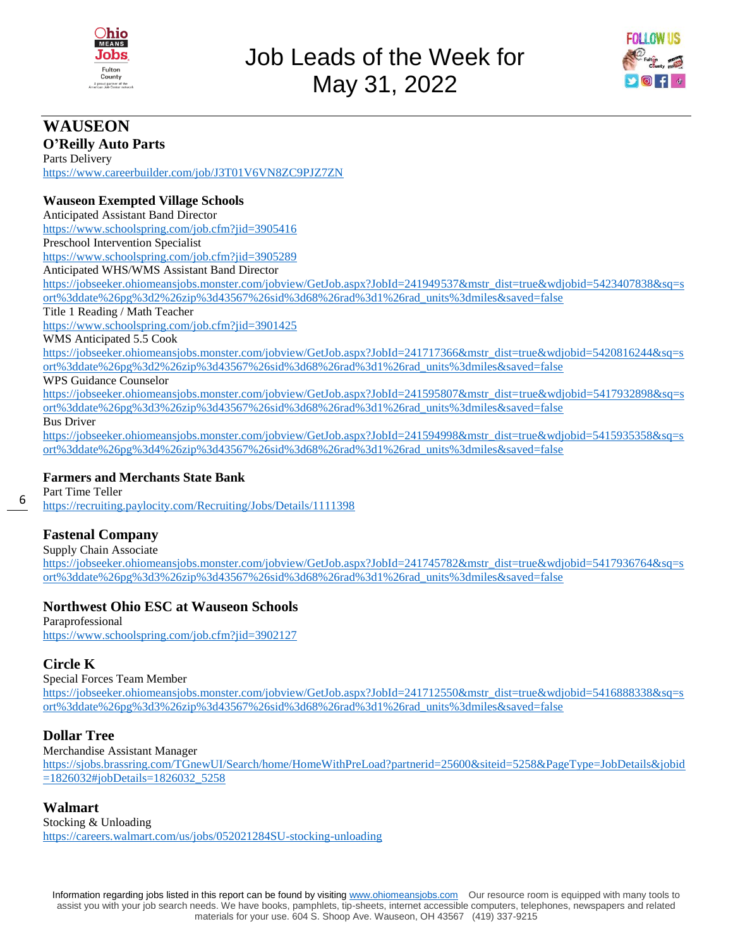



# **WAUSEON**

**O'Reilly Auto Parts** Parts Delivery <https://www.careerbuilder.com/job/J3T01V6VN8ZC9PJZ7ZN>

#### **Wauseon Exempted Village Schools**

Anticipated Assistant Band Director <https://www.schoolspring.com/job.cfm?jid=3905416> Preschool Intervention Specialist <https://www.schoolspring.com/job.cfm?jid=3905289>

Anticipated WHS/WMS Assistant Band Director

[https://jobseeker.ohiomeansjobs.monster.com/jobview/GetJob.aspx?JobId=241949537&mstr\\_dist=true&wdjobid=5423407838&sq=s](https://jobseeker.ohiomeansjobs.monster.com/jobview/GetJob.aspx?JobId=241949537&mstr_dist=true&wdjobid=5423407838&sq=sort%3ddate%26pg%3d2%26zip%3d43567%26sid%3d68%26rad%3d1%26rad_units%3dmiles&saved=false) [ort%3ddate%26pg%3d2%26zip%3d43567%26sid%3d68%26rad%3d1%26rad\\_units%3dmiles&saved=false](https://jobseeker.ohiomeansjobs.monster.com/jobview/GetJob.aspx?JobId=241949537&mstr_dist=true&wdjobid=5423407838&sq=sort%3ddate%26pg%3d2%26zip%3d43567%26sid%3d68%26rad%3d1%26rad_units%3dmiles&saved=false)

#### Title 1 Reading / Math Teacher

<https://www.schoolspring.com/job.cfm?jid=3901425>

WMS Anticipated 5.5 Cook

[https://jobseeker.ohiomeansjobs.monster.com/jobview/GetJob.aspx?JobId=241717366&mstr\\_dist=true&wdjobid=5420816244&sq=s](https://jobseeker.ohiomeansjobs.monster.com/jobview/GetJob.aspx?JobId=241717366&mstr_dist=true&wdjobid=5420816244&sq=sort%3ddate%26pg%3d2%26zip%3d43567%26sid%3d68%26rad%3d1%26rad_units%3dmiles&saved=false) [ort%3ddate%26pg%3d2%26zip%3d43567%26sid%3d68%26rad%3d1%26rad\\_units%3dmiles&saved=false](https://jobseeker.ohiomeansjobs.monster.com/jobview/GetJob.aspx?JobId=241717366&mstr_dist=true&wdjobid=5420816244&sq=sort%3ddate%26pg%3d2%26zip%3d43567%26sid%3d68%26rad%3d1%26rad_units%3dmiles&saved=false)

#### WPS Guidance Counselor

[https://jobseeker.ohiomeansjobs.monster.com/jobview/GetJob.aspx?JobId=241595807&mstr\\_dist=true&wdjobid=5417932898&sq=s](https://jobseeker.ohiomeansjobs.monster.com/jobview/GetJob.aspx?JobId=241595807&mstr_dist=true&wdjobid=5417932898&sq=sort%3ddate%26pg%3d3%26zip%3d43567%26sid%3d68%26rad%3d1%26rad_units%3dmiles&saved=false) [ort%3ddate%26pg%3d3%26zip%3d43567%26sid%3d68%26rad%3d1%26rad\\_units%3dmiles&saved=false](https://jobseeker.ohiomeansjobs.monster.com/jobview/GetJob.aspx?JobId=241595807&mstr_dist=true&wdjobid=5417932898&sq=sort%3ddate%26pg%3d3%26zip%3d43567%26sid%3d68%26rad%3d1%26rad_units%3dmiles&saved=false)

Bus Driver

6

[https://jobseeker.ohiomeansjobs.monster.com/jobview/GetJob.aspx?JobId=241594998&mstr\\_dist=true&wdjobid=5415935358&sq=s](https://jobseeker.ohiomeansjobs.monster.com/jobview/GetJob.aspx?JobId=241594998&mstr_dist=true&wdjobid=5415935358&sq=sort%3ddate%26pg%3d4%26zip%3d43567%26sid%3d68%26rad%3d1%26rad_units%3dmiles&saved=false) [ort%3ddate%26pg%3d4%26zip%3d43567%26sid%3d68%26rad%3d1%26rad\\_units%3dmiles&saved=false](https://jobseeker.ohiomeansjobs.monster.com/jobview/GetJob.aspx?JobId=241594998&mstr_dist=true&wdjobid=5415935358&sq=sort%3ddate%26pg%3d4%26zip%3d43567%26sid%3d68%26rad%3d1%26rad_units%3dmiles&saved=false)

## **Farmers and Merchants State Bank**

Part Time Teller <https://recruiting.paylocity.com/Recruiting/Jobs/Details/1111398>

# **Fastenal Company**

Supply Chain Associate

[https://jobseeker.ohiomeansjobs.monster.com/jobview/GetJob.aspx?JobId=241745782&mstr\\_dist=true&wdjobid=5417936764&sq=s](https://jobseeker.ohiomeansjobs.monster.com/jobview/GetJob.aspx?JobId=241745782&mstr_dist=true&wdjobid=5417936764&sq=sort%3ddate%26pg%3d3%26zip%3d43567%26sid%3d68%26rad%3d1%26rad_units%3dmiles&saved=false) [ort%3ddate%26pg%3d3%26zip%3d43567%26sid%3d68%26rad%3d1%26rad\\_units%3dmiles&saved=false](https://jobseeker.ohiomeansjobs.monster.com/jobview/GetJob.aspx?JobId=241745782&mstr_dist=true&wdjobid=5417936764&sq=sort%3ddate%26pg%3d3%26zip%3d43567%26sid%3d68%26rad%3d1%26rad_units%3dmiles&saved=false)

## **Northwest Ohio ESC at Wauseon Schools**

Paraprofessional <https://www.schoolspring.com/job.cfm?jid=3902127>

# **Circle K**

#### Special Forces Team Member

[https://jobseeker.ohiomeansjobs.monster.com/jobview/GetJob.aspx?JobId=241712550&mstr\\_dist=true&wdjobid=5416888338&sq=s](https://jobseeker.ohiomeansjobs.monster.com/jobview/GetJob.aspx?JobId=241712550&mstr_dist=true&wdjobid=5416888338&sq=sort%3ddate%26pg%3d3%26zip%3d43567%26sid%3d68%26rad%3d1%26rad_units%3dmiles&saved=false) [ort%3ddate%26pg%3d3%26zip%3d43567%26sid%3d68%26rad%3d1%26rad\\_units%3dmiles&saved=false](https://jobseeker.ohiomeansjobs.monster.com/jobview/GetJob.aspx?JobId=241712550&mstr_dist=true&wdjobid=5416888338&sq=sort%3ddate%26pg%3d3%26zip%3d43567%26sid%3d68%26rad%3d1%26rad_units%3dmiles&saved=false)

## **Dollar Tree**

Merchandise Assistant Manager [https://sjobs.brassring.com/TGnewUI/Search/home/HomeWithPreLoad?partnerid=25600&siteid=5258&PageType=JobDetails&jobid](https://sjobs.brassring.com/TGnewUI/Search/home/HomeWithPreLoad?partnerid=25600&siteid=5258&PageType=JobDetails&jobid=1826032#jobDetails=1826032_5258) [=1826032#jobDetails=1826032\\_5258](https://sjobs.brassring.com/TGnewUI/Search/home/HomeWithPreLoad?partnerid=25600&siteid=5258&PageType=JobDetails&jobid=1826032#jobDetails=1826032_5258)

## **Walmart**

Stocking & Unloading <https://careers.walmart.com/us/jobs/052021284SU-stocking-unloading>